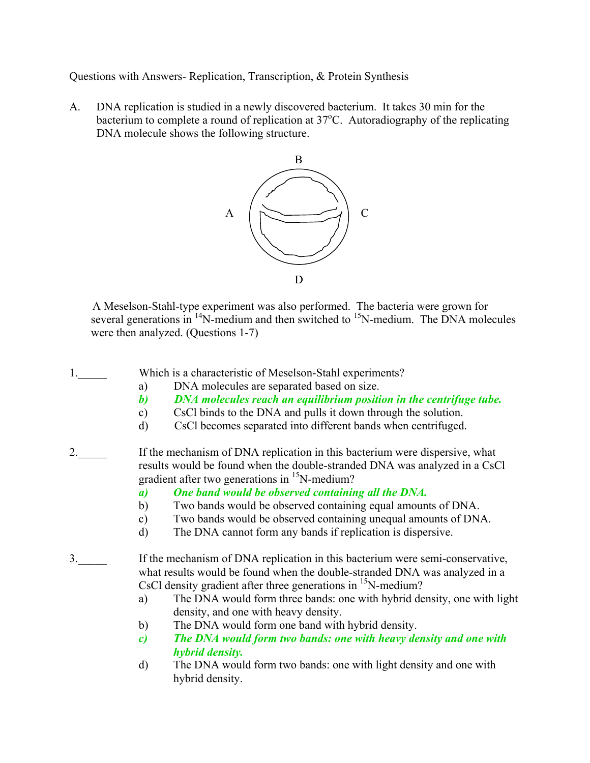Questions with Answers- Replication, Transcription, & Protein Synthesis

A. DNA replication is studied in a newly discovered bacterium. It takes 30 min for the bacterium to complete a round of replication at  $37^{\circ}$ C. Autoradiography of the replicating DNA molecule shows the following structure.



 A Meselson-Stahl-type experiment was also performed. The bacteria were grown for several generations in  $^{14}N$ -medium and then switched to  $^{15}N$ -medium. The DNA molecules were then analyzed. (Questions 1-7)

1. Which is a characteristic of Meselson-Stahl experiments?

- a) DNA molecules are separated based on size.
- *b) DNA molecules reach an equilibrium position in the centrifuge tube.*
- c) CsCl binds to the DNA and pulls it down through the solution.
- d) CsCl becomes separated into different bands when centrifuged.
- 2. If the mechanism of DNA replication in this bacterium were dispersive, what results would be found when the double-stranded DNA was analyzed in a CsCl gradient after two generations in  $\mathrm{^{15}N\text{-}medium?}$ 
	- *a) One band would be observed containing all the DNA.*
	- b) Two bands would be observed containing equal amounts of DNA.
	- c) Two bands would be observed containing unequal amounts of DNA.
	- d) The DNA cannot form any bands if replication is dispersive.
- 3.\_\_\_\_\_ If the mechanism of DNA replication in this bacterium were semi-conservative, what results would be found when the double-stranded DNA was analyzed in a CsCl density gradient after three generations in  $\mathrm{^{15}N\text{-}medium?}$ 
	- a) The DNA would form three bands: one with hybrid density, one with light density, and one with heavy density.
	- b) The DNA would form one band with hybrid density.
	- *c) The DNA would form two bands: one with heavy density and one with hybrid density.*
	- d) The DNA would form two bands: one with light density and one with hybrid density.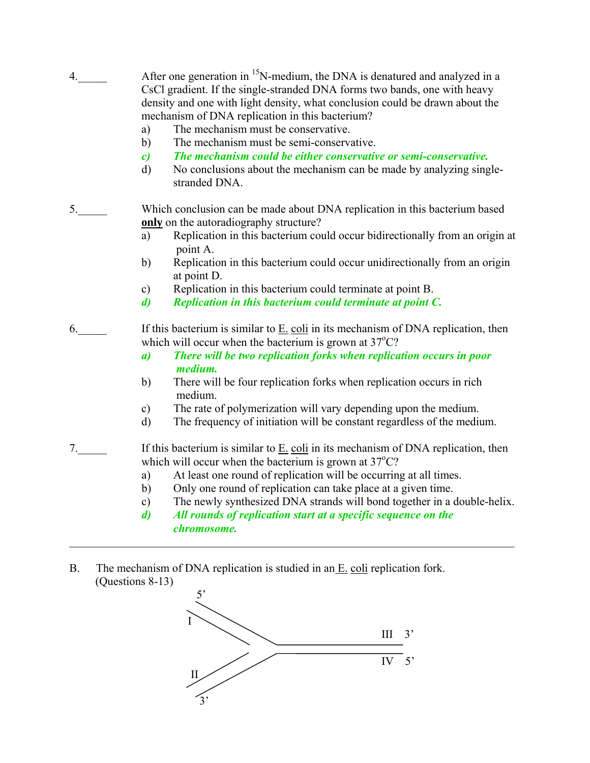| 4. | After one generation in <sup>15</sup> N-medium, the DNA is denatured and analyzed in a<br>CsCl gradient. If the single-stranded DNA forms two bands, one with heavy |
|----|---------------------------------------------------------------------------------------------------------------------------------------------------------------------|
|    | density and one with light density, what conclusion could be drawn about the<br>mechanism of DNA replication in this bacterium?                                     |
|    | The mechanism must be conservative.<br>a)                                                                                                                           |
|    | The mechanism must be semi-conservative.<br>b)                                                                                                                      |
|    | The mechanism could be either conservative or semi-conservative.<br>$\mathbf{c}$                                                                                    |
|    | No conclusions about the mechanism can be made by analyzing single-<br>d)<br>stranded DNA.                                                                          |
| 5. | Which conclusion can be made about DNA replication in this bacterium based                                                                                          |
|    | only on the autoradiography structure?                                                                                                                              |
|    | Replication in this bacterium could occur bidirectionally from an origin at<br>a)<br>point A.                                                                       |
|    | Replication in this bacterium could occur unidirectionally from an origin<br>b)<br>at point D.                                                                      |
|    | Replication in this bacterium could terminate at point B.<br>$\mathbf{c})$                                                                                          |
|    | Replication in this bacterium could terminate at point C.<br>d)                                                                                                     |
| 6. | If this bacterium is similar to $E$ coli in its mechanism of DNA replication, then                                                                                  |
|    | which will occur when the bacterium is grown at $37^{\circ}$ C?                                                                                                     |
|    | There will be two replication forks when replication occurs in poor<br>$\boldsymbol{a}$<br>medium.                                                                  |
|    | There will be four replication forks when replication occurs in rich<br>b)<br>medium.                                                                               |
|    | The rate of polymerization will vary depending upon the medium.<br>$\mathbf{c})$                                                                                    |
|    | The frequency of initiation will be constant regardless of the medium.<br>d)                                                                                        |
| 7. | If this bacterium is similar to $E$ coli in its mechanism of DNA replication, then                                                                                  |
|    | which will occur when the bacterium is grown at $37^{\circ}$ C?                                                                                                     |
|    | At least one round of replication will be occurring at all times.<br>a)                                                                                             |
|    | Only one round of replication can take place at a given time.<br>b)                                                                                                 |
|    | The newly synthesized DNA strands will bond together in a double-helix.<br>$\mathbf{c})$                                                                            |
|    | All rounds of replication start at a specific sequence on the<br>$\mathbf{d}$<br>chromosome.                                                                        |

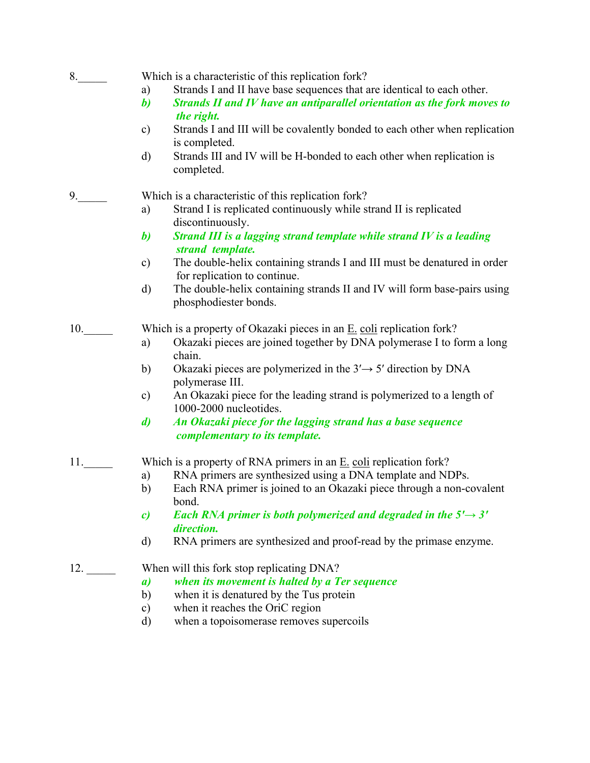8. Which is a characteristic of this replication fork?

- a) Strands I and II have base sequences that are identical to each other.
- *b) Strands II and IV have an antiparallel orientation as the fork moves to the right.*
- c) Strands I and III will be covalently bonded to each other when replication is completed.
- d) Strands III and IV will be H-bonded to each other when replication is completed.

9. Which is a characteristic of this replication fork?

- a) Strand I is replicated continuously while strand II is replicated discontinuously.
- *b) Strand III is a lagging strand template while strand IV is a leading strand template.*
- c) The double-helix containing strands I and III must be denatured in order for replication to continue.
- d) The double-helix containing strands II and IV will form base-pairs using phosphodiester bonds.

10. Which is a property of Okazaki pieces in an  $E$ , coli replication fork?

- a) Okazaki pieces are joined together by DNA polymerase I to form a long chain.
- b) Okazaki pieces are polymerized in the  $3' \rightarrow 5'$  direction by DNA polymerase III.
- c) An Okazaki piece for the leading strand is polymerized to a length of 1000-2000 nucleotides.
- *d) An Okazaki piece for the lagging strand has a base sequence complementary to its template.*

11. Which is a property of RNA primers in an  $E$  coli replication fork?

- a) RNA primers are synthesized using a DNA template and NDPs.
- b) Each RNA primer is joined to an Okazaki piece through a non-covalent bond.
- *c*) Each RNA primer is both polymerized and degraded in the  $5' \rightarrow 3'$  *direction.*
- d) RNA primers are synthesized and proof-read by the primase enzyme.

## 12. When will this fork stop replicating DNA?

- *a) when its movement is halted by a Ter sequence*
- b) when it is denatured by the Tus protein
- c) when it reaches the OriC region
- d) when a topoisomerase removes supercoils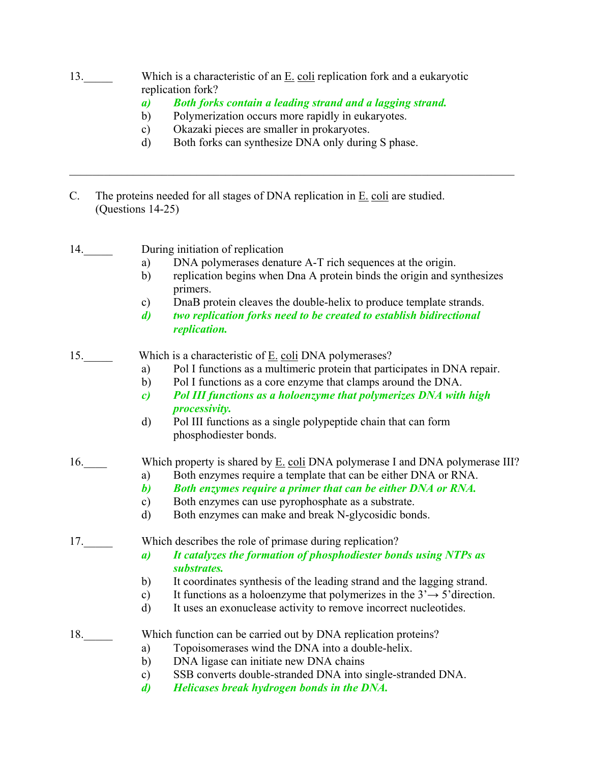- 13. Which is a characteristic of an  $E$ , coli replication fork and a eukaryotic replication fork?
	- *a) Both forks contain a leading strand and a lagging strand.*

 $\mathcal{L}_\mathcal{L} = \{ \mathcal{L}_\mathcal{L} = \{ \mathcal{L}_\mathcal{L} = \{ \mathcal{L}_\mathcal{L} = \{ \mathcal{L}_\mathcal{L} = \{ \mathcal{L}_\mathcal{L} = \{ \mathcal{L}_\mathcal{L} = \{ \mathcal{L}_\mathcal{L} = \{ \mathcal{L}_\mathcal{L} = \{ \mathcal{L}_\mathcal{L} = \{ \mathcal{L}_\mathcal{L} = \{ \mathcal{L}_\mathcal{L} = \{ \mathcal{L}_\mathcal{L} = \{ \mathcal{L}_\mathcal{L} = \{ \mathcal{L}_\mathcal{$ 

- b) Polymerization occurs more rapidly in eukaryotes.
- c) Okazaki pieces are smaller in prokaryotes.
- d) Both forks can synthesize DNA only during S phase.
- C. The proteins needed for all stages of DNA replication in E. coli are studied. (Questions 14-25)
- 14. During initiation of replication
	- a) DNA polymerases denature A-T rich sequences at the origin.
	- b) replication begins when Dna A protein binds the origin and synthesizes primers.
	- c) DnaB protein cleaves the double-helix to produce template strands.
	- *d) two replication forks need to be created to establish bidirectional replication.*

15. Which is a characteristic of E. coli DNA polymerases?

- a) Pol I functions as a multimeric protein that participates in DNA repair.
- b) Pol I functions as a core enzyme that clamps around the DNA.
- *c) Pol III functions as a holoenzyme that polymerizes DNA with high processivity.*
- d) Pol III functions as a single polypeptide chain that can form phosphodiester bonds.
- 16. Which property is shared by E. coli DNA polymerase I and DNA polymerase III?
	- a) Both enzymes require a template that can be either DNA or RNA.
	- *b) Both enzymes require a primer that can be either DNA or RNA.*
	- c) Both enzymes can use pyrophosphate as a substrate.
	- d) Both enzymes can make and break N-glycosidic bonds.

17. Which describes the role of primase during replication?

- *a) It catalyzes the formation of phosphodiester bonds using NTPs as substrates.*
- b) It coordinates synthesis of the leading strand and the lagging strand.
- c) It functions as a holoenzyme that polymerizes in the  $3 \rightarrow 5$ 'direction.
- d) It uses an exonuclease activity to remove incorrect nucleotides.

18. Which function can be carried out by DNA replication proteins?

- a) Topoisomerases wind the DNA into a double-helix.
	- b) DNA ligase can initiate new DNA chains
	- c) SSB converts double-stranded DNA into single-stranded DNA.
	- *d) Helicases break hydrogen bonds in the DNA.*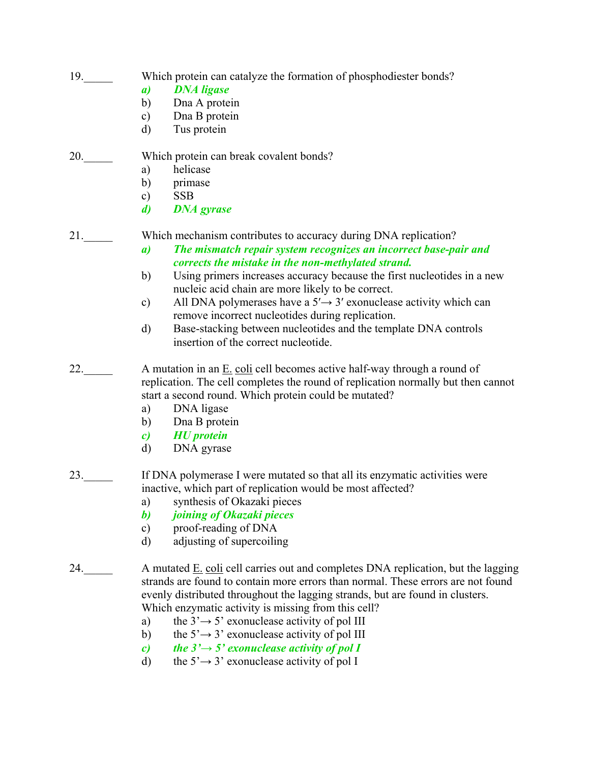- 19. Which protein can catalyze the formation of phosphodiester bonds?
	- *a) DNA ligase*
	- b) Dna A protein
	- c) Dna B protein
	- d) Tus protein

## 20. Which protein can break covalent bonds?

- a) helicase
	- b) primase
	- c) SSB
	- *d) DNA gyrase*

21.\_\_\_\_\_ Which mechanism contributes to accuracy during DNA replication?

- *a) The mismatch repair system recognizes an incorrect base-pair and corrects the mistake in the non-methylated strand.*
- b) Using primers increases accuracy because the first nucleotides in a new nucleic acid chain are more likely to be correct.
- c) All DNA polymerases have a  $5' \rightarrow 3'$  exonuclease activity which can remove incorrect nucleotides during replication.
- d) Base-stacking between nucleotides and the template DNA controls insertion of the correct nucleotide.
- 22.  $\Box$  A mutation in an  $\underline{E}$  coli cell becomes active half-way through a round of replication. The cell completes the round of replication normally but then cannot start a second round. Which protein could be mutated?
	- a) DNA ligase
	- b) Dna B protein
	- *c) HU protein*
	- d) DNA gyrase
- 23.\_\_\_\_\_ If DNA polymerase I were mutated so that all its enzymatic activities were inactive, which part of replication would be most affected?
	- a) synthesis of Okazaki pieces
	- *b) joining of Okazaki pieces*
	- c) proof-reading of DNA
	- d) adjusting of supercoiling
- 24.  $\blacksquare$  A mutated  $\underline{E}$ . coli cell carries out and completes DNA replication, but the lagging strands are found to contain more errors than normal. These errors are not found evenly distributed throughout the lagging strands, but are found in clusters. Which enzymatic activity is missing from this cell?
	- a) the  $3' \rightarrow 5'$  exonuclease activity of pol III
	- b) the  $5' \rightarrow 3'$  exonuclease activity of pol III
	- *c*) the  $3' \rightarrow 5'$  exonuclease activity of pol I
	- d) the  $5' \rightarrow 3'$  exonuclease activity of pol I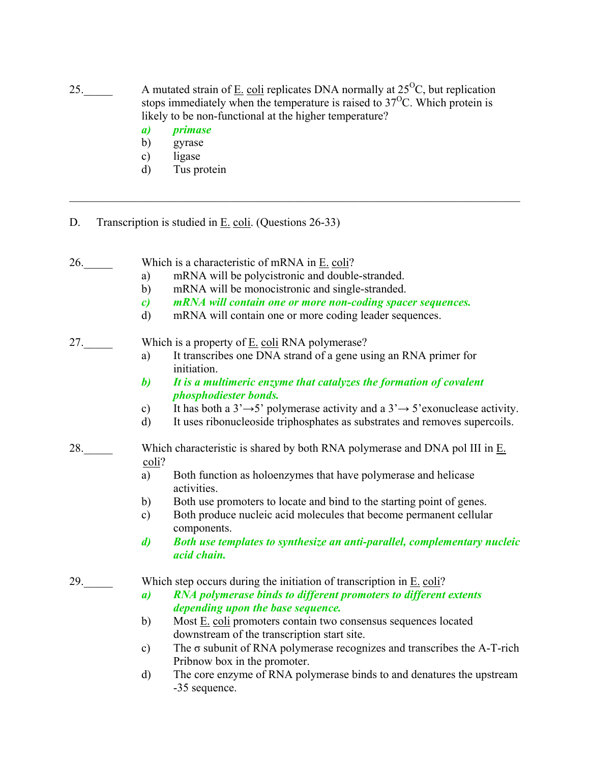25. A mutated strain of  $\underline{E}$ . coli replicates DNA normally at 25<sup>o</sup>C, but replication stops immediately when the temperature is raised to  $37^{\circ}$ C. Which protein is likely to be non-functional at the higher temperature?

 $\mathcal{L}_\mathcal{L} = \{ \mathcal{L}_\mathcal{L} = \{ \mathcal{L}_\mathcal{L} = \{ \mathcal{L}_\mathcal{L} = \{ \mathcal{L}_\mathcal{L} = \{ \mathcal{L}_\mathcal{L} = \{ \mathcal{L}_\mathcal{L} = \{ \mathcal{L}_\mathcal{L} = \{ \mathcal{L}_\mathcal{L} = \{ \mathcal{L}_\mathcal{L} = \{ \mathcal{L}_\mathcal{L} = \{ \mathcal{L}_\mathcal{L} = \{ \mathcal{L}_\mathcal{L} = \{ \mathcal{L}_\mathcal{L} = \{ \mathcal{L}_\mathcal{$ 

- *a) primase*
- b) gyrase
- c) ligase
- d) Tus protein
- D. Transcription is studied in E. coli. (Questions 26-33)
- 26. Which is a characteristic of mRNA in  $E$ . coli? a) mRNA will be polycistronic and double-stranded. b) mRNA will be monocistronic and single-stranded. *c) mRNA will contain one or more non-coding spacer sequences.*  d) mRNA will contain one or more coding leader sequences. 27. Which is a property of <u>E. coli</u> RNA polymerase? a) It transcribes one DNA strand of a gene using an RNA primer for initiation. *b) It is a multimeric enzyme that catalyzes the formation of covalent phosphodiester bonds.*  c) It has both a  $3' \rightarrow 5'$  polymerase activity and a  $3' \rightarrow 5'$  exonuclease activity. d) It uses ribonucleoside triphosphates as substrates and removes supercoils. 28.  $\Box$  Which characteristic is shared by both RNA polymerase and DNA pol III in  $\underline{E}$ . coli? a) Both function as holoenzymes that have polymerase and helicase activities. b) Both use promoters to locate and bind to the starting point of genes. c) Both produce nucleic acid molecules that become permanent cellular components. *d) Both use templates to synthesize an anti-parallel, complementary nucleic acid chain.*  29. Which step occurs during the initiation of transcription in  $E$ . coli?  *a) RNA polymerase binds to different promoters to different extents depending upon the base sequence.*  b) Most E. coli promoters contain two consensus sequences located downstream of the transcription start site. c) The σ subunit of RNA polymerase recognizes and transcribes the A-T-rich Pribnow box in the promoter. d) The core enzyme of RNA polymerase binds to and denatures the upstream -35 sequence.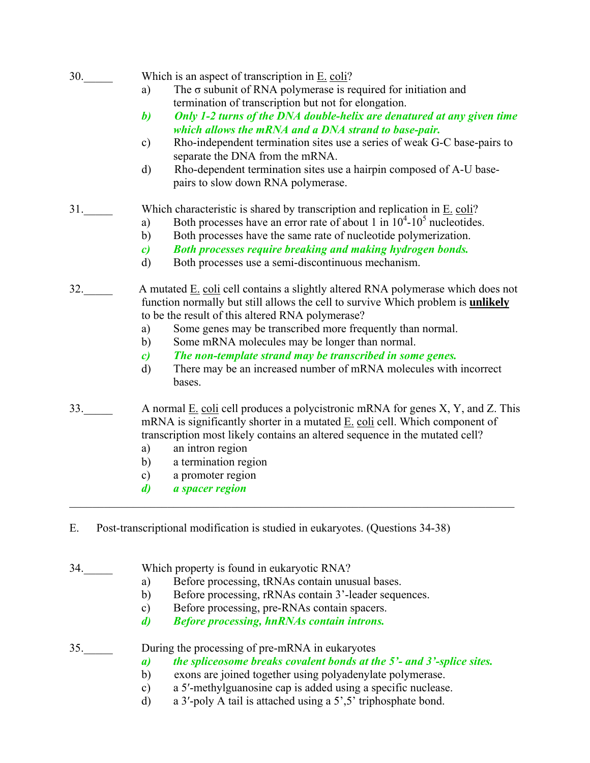| 30. | Which is an aspect of transcription in E. coli?<br>The $\sigma$ subunit of RNA polymerase is required for initiation and<br>a)<br>termination of transcription but not for elongation.<br>Only 1-2 turns of the DNA double-helix are denatured at any given time<br>$\boldsymbol{b}$<br>which allows the mRNA and a DNA strand to base-pair.<br>Rho-independent termination sites use a series of weak G-C base-pairs to<br>$\mathbf{c})$<br>separate the DNA from the mRNA.<br>Rho-dependent termination sites use a hairpin composed of A-U base-<br>$\mathbf{d}$<br>pairs to slow down RNA polymerase. |
|-----|-----------------------------------------------------------------------------------------------------------------------------------------------------------------------------------------------------------------------------------------------------------------------------------------------------------------------------------------------------------------------------------------------------------------------------------------------------------------------------------------------------------------------------------------------------------------------------------------------------------|
| 31. | Which characteristic is shared by transcription and replication in $E$ . coli?<br>Both processes have an error rate of about 1 in $10^4$ - $10^5$ nucleotides.<br>a)<br>Both processes have the same rate of nucleotide polymerization.<br>b)<br>Both processes require breaking and making hydrogen bonds.<br>$\mathbf{c}$<br>Both processes use a semi-discontinuous mechanism.<br>$\mathbf{d}$                                                                                                                                                                                                         |
| 32. | A mutated E. coli cell contains a slightly altered RNA polymerase which does not<br>function normally but still allows the cell to survive Which problem is <b>unlikely</b><br>to be the result of this altered RNA polymerase?<br>Some genes may be transcribed more frequently than normal.<br>a)<br>Some mRNA molecules may be longer than normal.<br>b)<br>The non-template strand may be transcribed in some genes.<br>$\mathbf{c}$<br>There may be an increased number of mRNA molecules with incorrect<br>d)<br>bases.                                                                             |
| 33. | A normal E. coli cell produces a polycistronic mRNA for genes X, Y, and Z. This<br>mRNA is significantly shorter in a mutated $E$ . coli cell. Which component of<br>transcription most likely contains an altered sequence in the mutated cell?<br>an intron region<br>a)<br>a termination region<br>b)<br>a promoter region<br>$\mathbf{c})$<br>a spacer region<br>d)                                                                                                                                                                                                                                   |

E. Post-transcriptional modification is studied in eukaryotes. (Questions 34-38)

34. Which property is found in eukaryotic RNA?

- a) Before processing, tRNAs contain unusual bases.
- b) Before processing, rRNAs contain 3'-leader sequences.
- c) Before processing, pre-RNAs contain spacers.
- *d) Before processing, hnRNAs contain introns.*

35. During the processing of pre-mRNA in eukaryotes

- *a) the spliceosome breaks covalent bonds at the 5'- and 3'-splice sites.*
- b) exons are joined together using polyadenylate polymerase.
- c) a 5′-methylguanosine cap is added using a specific nuclease.
- d) a 3′-poly A tail is attached using a 5',5' triphosphate bond.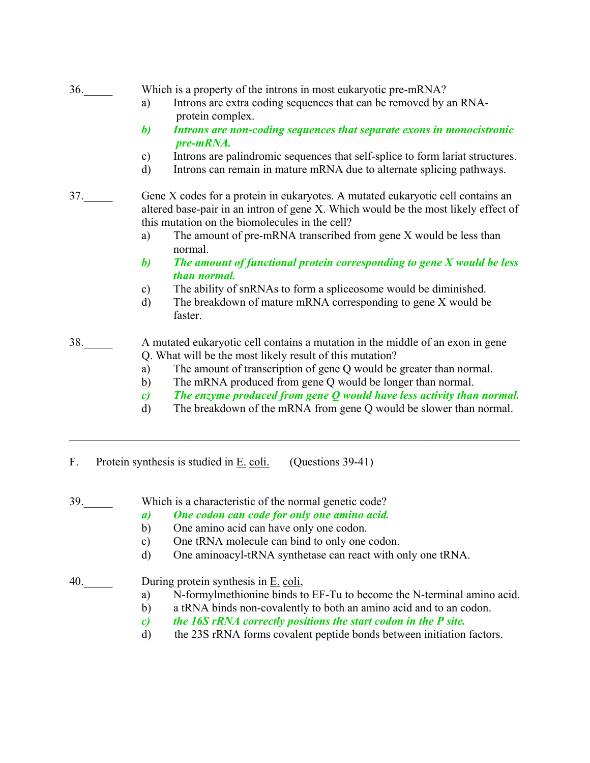# 36. Which is a property of the introns in most eukaryotic pre-mRNA?

- a) Introns are extra coding sequences that can be removed by an RNA protein complex.
- *b) Introns are non-coding sequences that separate exons in monocistronic pre-mRNA.*
- c) Introns are palindromic sequences that self-splice to form lariat structures.
- d) Introns can remain in mature mRNA due to alternate splicing pathways.

37. Gene X codes for a protein in eukaryotes. A mutated eukaryotic cell contains an altered base-pair in an intron of gene X. Which would be the most likely effect of this mutation on the biomolecules in the cell?

- a) The amount of pre-mRNA transcribed from gene X would be less than normal.
- *b) The amount of functional protein corresponding to gene X would be less than normal.*
- c) The ability of snRNAs to form a spliceosome would be diminished.
- d) The breakdown of mature mRNA corresponding to gene X would be faster.

#### 38.\_\_\_\_\_ A mutated eukaryotic cell contains a mutation in the middle of an exon in gene Q. What will be the most likely result of this mutation?

 $\mathcal{L}_\mathcal{L} = \mathcal{L}_\mathcal{L} = \mathcal{L}_\mathcal{L} = \mathcal{L}_\mathcal{L} = \mathcal{L}_\mathcal{L} = \mathcal{L}_\mathcal{L} = \mathcal{L}_\mathcal{L} = \mathcal{L}_\mathcal{L} = \mathcal{L}_\mathcal{L} = \mathcal{L}_\mathcal{L} = \mathcal{L}_\mathcal{L} = \mathcal{L}_\mathcal{L} = \mathcal{L}_\mathcal{L} = \mathcal{L}_\mathcal{L} = \mathcal{L}_\mathcal{L} = \mathcal{L}_\mathcal{L} = \mathcal{L}_\mathcal{L}$ 

- a) The amount of transcription of gene Q would be greater than normal.
- b) The mRNA produced from gene Q would be longer than normal.
- *c) The enzyme produced from gene Q would have less activity than normal.*
- d) The breakdown of the mRNA from gene Q would be slower than normal.
- F. Protein synthesis is studied in E. coli. (Questions 39-41)
- 39. Which is a characteristic of the normal genetic code?
	- *a) One codon can code for only one amino acid.*
	- b) One amino acid can have only one codon.
	- c) One tRNA molecule can bind to only one codon.
	- d) One aminoacyl-tRNA synthetase can react with only one tRNA.

# 40. During protein synthesis in E. coli,

- a) N-formylmethionine binds to EF-Tu to become the N-terminal amino acid.
- b) a tRNA binds non-covalently to both an amino acid and to an codon.
- *c) the 16S rRNA correctly positions the start codon in the P site.*
- d) the 23S rRNA forms covalent peptide bonds between initiation factors.